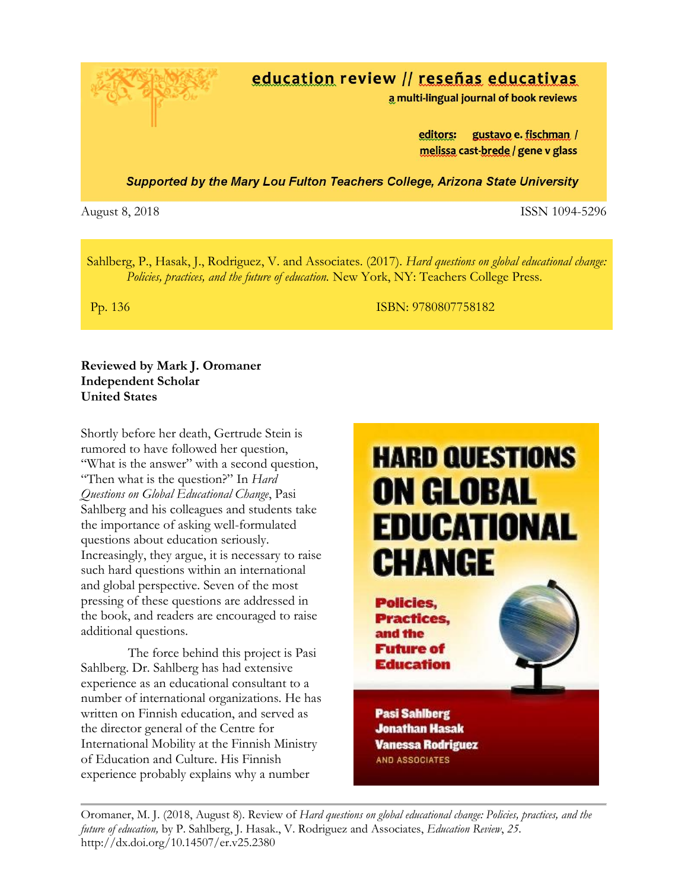# education review // reseñas educativas

a multi-lingual journal of book reviews

editors: gustavo e. fischman / melissa cast-brede / gene v glass

**Supported by the Mary Lou Fulton Teachers College, Arizona State University** 

August 8, 2018 **ISSN 1094-5296** 

Sahlberg, P., Hasak, J., Rodriguez, V. and Associates. (2017). *Hard questions on global educational change: Policies, practices, and the future of education.* New York, NY: Teachers College Press.

Pp. 136 ISBN: 9780807758182

## **Reviewed by Mark J. Oromaner Independent Scholar United States**

Shortly before her death, Gertrude Stein is rumored to have followed her question, "What is the answer" with a second question, "Then what is the question?" In *Hard Questions on Global Educational Change*, Pasi Sahlberg and his colleagues and students take the importance of asking well-formulated questions about education seriously. Increasingly, they argue, it is necessary to raise such hard questions within an international and global perspective. Seven of the most pressing of these questions are addressed in the book, and readers are encouraged to raise additional questions.

 The force behind this project is Pasi Sahlberg. Dr. Sahlberg has had extensive experience as an educational consultant to a number of international organizations. He has written on Finnish education, and served as the director general of the Centre for International Mobility at the Finnish Ministry of Education and Culture. His Finnish experience probably explains why a number



**Education Pasi Sahlberg** 

**Jonathan Hasak Vanessa Rodriguez AND ASSOCIATES** 

Oromaner, M. J. (2018, August 8). Review of *Hard questions on global educational change: Policies, practices, and the future of education,* by P. Sahlberg, J. Hasak., V. Rodriguez and Associates, *Education Review*, *25*. http://dx.doi.org/10.14507/er.v25.2380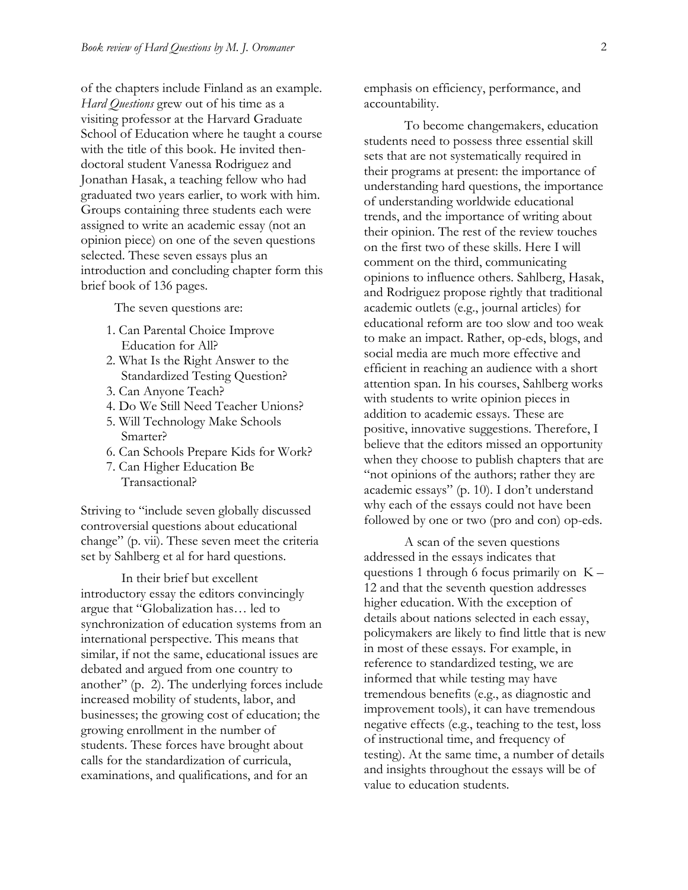of the chapters include Finland as an example. *Hard Questions* grew out of his time as a visiting professor at the Harvard Graduate School of Education where he taught a course with the title of this book. He invited thendoctoral student Vanessa Rodriguez and Jonathan Hasak, a teaching fellow who had graduated two years earlier, to work with him. Groups containing three students each were assigned to write an academic essay (not an opinion piece) on one of the seven questions selected. These seven essays plus an introduction and concluding chapter form this brief book of 136 pages.

The seven questions are:

- 1. Can Parental Choice Improve Education for All?
- 2. What Is the Right Answer to the Standardized Testing Question?
- 3. Can Anyone Teach?
- 4. Do We Still Need Teacher Unions?
- 5. Will Technology Make Schools Smarter?
- 6. Can Schools Prepare Kids for Work?
- 7. Can Higher Education Be Transactional?

Striving to "include seven globally discussed controversial questions about educational change" (p. vii). These seven meet the criteria set by Sahlberg et al for hard questions.

In their brief but excellent introductory essay the editors convincingly argue that "Globalization has… led to synchronization of education systems from an international perspective. This means that similar, if not the same, educational issues are debated and argued from one country to another" (p. 2). The underlying forces include increased mobility of students, labor, and businesses; the growing cost of education; the growing enrollment in the number of students. These forces have brought about calls for the standardization of curricula, examinations, and qualifications, and for an

emphasis on efficiency, performance, and accountability.

To become changemakers, education students need to possess three essential skill sets that are not systematically required in their programs at present: the importance of understanding hard questions, the importance of understanding worldwide educational trends, and the importance of writing about their opinion. The rest of the review touches on the first two of these skills. Here I will comment on the third, communicating opinions to influence others. Sahlberg, Hasak, and Rodriguez propose rightly that traditional academic outlets (e.g., journal articles) for educational reform are too slow and too weak to make an impact. Rather, op-eds, blogs, and social media are much more effective and efficient in reaching an audience with a short attention span. In his courses, Sahlberg works with students to write opinion pieces in addition to academic essays. These are positive, innovative suggestions. Therefore, I believe that the editors missed an opportunity when they choose to publish chapters that are "not opinions of the authors; rather they are academic essays" (p. 10). I don't understand why each of the essays could not have been followed by one or two (pro and con) op-eds.

A scan of the seven questions addressed in the essays indicates that questions 1 through 6 focus primarily on  $K -$ 12 and that the seventh question addresses higher education. With the exception of details about nations selected in each essay, policymakers are likely to find little that is new in most of these essays. For example, in reference to standardized testing, we are informed that while testing may have tremendous benefits (e.g., as diagnostic and improvement tools), it can have tremendous negative effects (e.g., teaching to the test, loss of instructional time, and frequency of testing). At the same time, a number of details and insights throughout the essays will be of value to education students.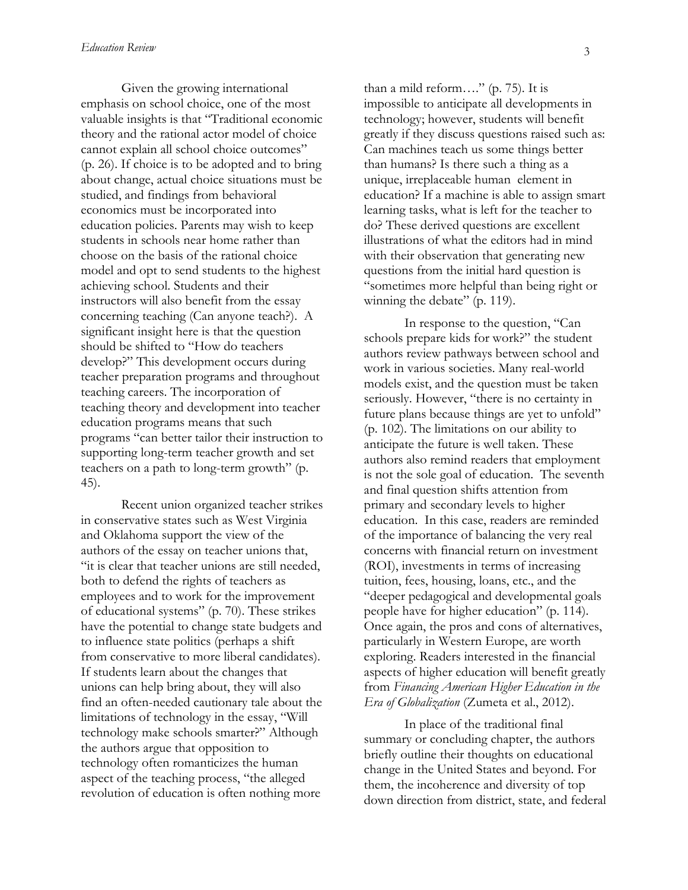Given the growing international emphasis on school choice, one of the most valuable insights is that "Traditional economic theory and the rational actor model of choice cannot explain all school choice outcomes" (p. 26). If choice is to be adopted and to bring about change, actual choice situations must be studied, and findings from behavioral economics must be incorporated into education policies. Parents may wish to keep students in schools near home rather than choose on the basis of the rational choice model and opt to send students to the highest achieving school. Students and their instructors will also benefit from the essay concerning teaching (Can anyone teach?). A significant insight here is that the question should be shifted to "How do teachers develop?" This development occurs during teacher preparation programs and throughout teaching careers. The incorporation of teaching theory and development into teacher education programs means that such programs "can better tailor their instruction to supporting long-term teacher growth and set teachers on a path to long-term growth" (p. 45).

Recent union organized teacher strikes in conservative states such as West Virginia and Oklahoma support the view of the authors of the essay on teacher unions that, "it is clear that teacher unions are still needed, both to defend the rights of teachers as employees and to work for the improvement of educational systems" (p. 70). These strikes have the potential to change state budgets and to influence state politics (perhaps a shift from conservative to more liberal candidates). If students learn about the changes that unions can help bring about, they will also find an often-needed cautionary tale about the limitations of technology in the essay, "Will technology make schools smarter?" Although the authors argue that opposition to technology often romanticizes the human aspect of the teaching process, "the alleged revolution of education is often nothing more

than a mild reform…." (p. 75). It is impossible to anticipate all developments in technology; however, students will benefit greatly if they discuss questions raised such as: Can machines teach us some things better than humans? Is there such a thing as a unique, irreplaceable human element in education? If a machine is able to assign smart learning tasks, what is left for the teacher to do? These derived questions are excellent illustrations of what the editors had in mind with their observation that generating new questions from the initial hard question is "sometimes more helpful than being right or winning the debate" (p. 119).

In response to the question, "Can schools prepare kids for work?" the student authors review pathways between school and work in various societies. Many real-world models exist, and the question must be taken seriously. However, "there is no certainty in future plans because things are yet to unfold" (p. 102). The limitations on our ability to anticipate the future is well taken. These authors also remind readers that employment is not the sole goal of education. The seventh and final question shifts attention from primary and secondary levels to higher education. In this case, readers are reminded of the importance of balancing the very real concerns with financial return on investment (ROI), investments in terms of increasing tuition, fees, housing, loans, etc., and the "deeper pedagogical and developmental goals people have for higher education" (p. 114). Once again, the pros and cons of alternatives, particularly in Western Europe, are worth exploring. Readers interested in the financial aspects of higher education will benefit greatly from *Financing American Higher Education in the Era of Globalization* (Zumeta et al., 2012).

In place of the traditional final summary or concluding chapter, the authors briefly outline their thoughts on educational change in the United States and beyond. For them, the incoherence and diversity of top down direction from district, state, and federal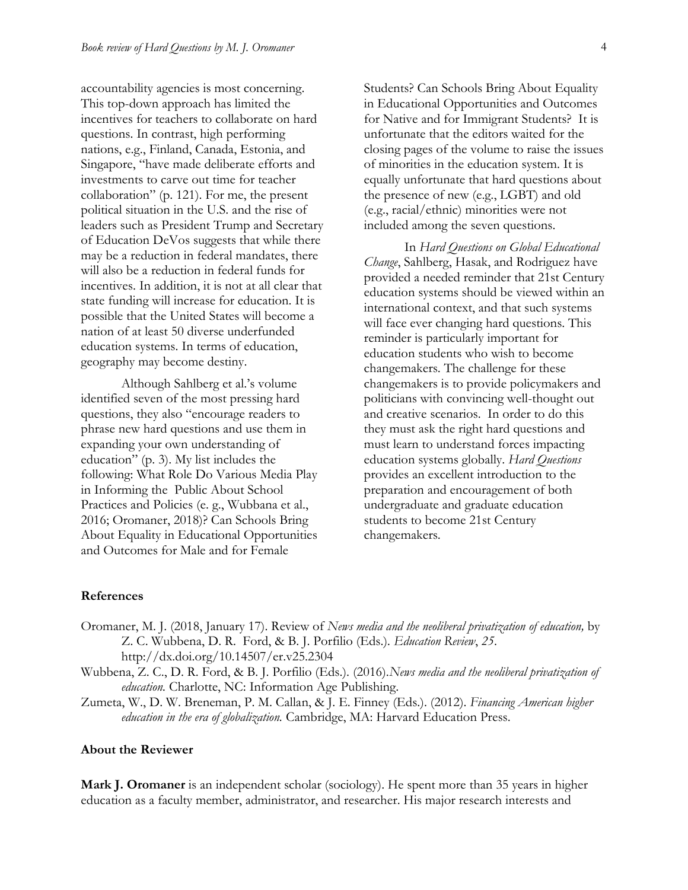accountability agencies is most concerning. This top-down approach has limited the incentives for teachers to collaborate on hard questions. In contrast, high performing nations, e.g., Finland, Canada, Estonia, and Singapore, "have made deliberate efforts and investments to carve out time for teacher collaboration" (p. 121). For me, the present political situation in the U.S. and the rise of leaders such as President Trump and Secretary of Education DeVos suggests that while there may be a reduction in federal mandates, there will also be a reduction in federal funds for incentives. In addition, it is not at all clear that state funding will increase for education. It is possible that the United States will become a nation of at least 50 diverse underfunded education systems. In terms of education, geography may become destiny.

Although Sahlberg et al.'s volume identified seven of the most pressing hard questions, they also "encourage readers to phrase new hard questions and use them in expanding your own understanding of education" (p. 3). My list includes the following: What Role Do Various Media Play in Informing the Public About School Practices and Policies (e. g., Wubbana et al., 2016; Oromaner, 2018)? Can Schools Bring About Equality in Educational Opportunities and Outcomes for Male and for Female

Students? Can Schools Bring About Equality in Educational Opportunities and Outcomes for Native and for Immigrant Students? It is unfortunate that the editors waited for the closing pages of the volume to raise the issues of minorities in the education system. It is equally unfortunate that hard questions about the presence of new (e.g., LGBT) and old (e.g., racial/ethnic) minorities were not included among the seven questions.

In *Hard Questions on Global Educational Change*, Sahlberg, Hasak, and Rodriguez have provided a needed reminder that 21st Century education systems should be viewed within an international context, and that such systems will face ever changing hard questions. This reminder is particularly important for education students who wish to become changemakers. The challenge for these changemakers is to provide policymakers and politicians with convincing well-thought out and creative scenarios. In order to do this they must ask the right hard questions and must learn to understand forces impacting education systems globally. *Hard Questions* provides an excellent introduction to the preparation and encouragement of both undergraduate and graduate education students to become 21st Century changemakers.

#### **References**

- Oromaner, M. J. (2018, January 17). Review of *News media and the neoliberal privatization of education,* by Z. C. Wubbena, D. R. Ford, & B. J. Porfilio (Eds.)*. Education Review*, *25*. <http://dx.doi.org/10.14507/er.v25.2304>
- Wubbena, Z. C., D. R. Ford, & B. J. Porfilio (Eds.). (2016).*News media and the neoliberal privatization of education.* Charlotte, NC: Information Age Publishing.
- Zumeta, W., D. W. Breneman, P. M. Callan, & J. E. Finney (Eds.). (2012). *Financing American higher education in the era of globalization.* Cambridge, MA: Harvard Education Press.

#### **About the Reviewer**

**Mark J. Oromaner** is an independent scholar (sociology). He spent more than 35 years in higher education as a faculty member, administrator, and researcher. His major research interests and